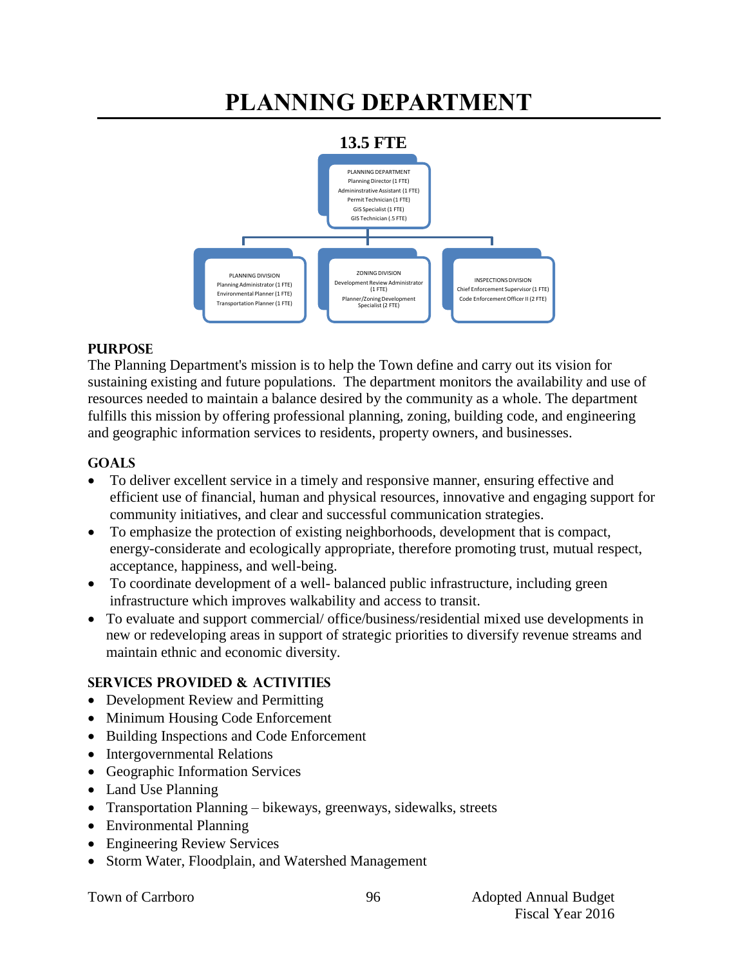# **PLANNING DEPARTMENT**



#### **PURPOSE**

The Planning Department's mission is to help the Town define and carry out its vision for sustaining existing and future populations. The department monitors the availability and use of resources needed to maintain a balance desired by the community as a whole. The department fulfills this mission by offering professional planning, zoning, building code, and engineering and geographic information services to residents, property owners, and businesses.

# **GOALS**

- To deliver excellent service in a timely and responsive manner, ensuring effective and efficient use of financial, human and physical resources, innovative and engaging support for community initiatives, and clear and successful communication strategies.
- To emphasize the protection of existing neighborhoods, development that is compact, energy-considerate and ecologically appropriate, therefore promoting trust, mutual respect, acceptance, happiness, and well-being.
- To coordinate development of a well- balanced public infrastructure, including green infrastructure which improves walkability and access to transit.
- To evaluate and support commercial/ office/business/residential mixed use developments in new or redeveloping areas in support of strategic priorities to diversify revenue streams and maintain ethnic and economic diversity.

# **SERVICES PROVIDED & ACTIVITIES**

- Development Review and Permitting
- Minimum Housing Code Enforcement
- Building Inspections and Code Enforcement
- Intergovernmental Relations
- Geographic Information Services
- Land Use Planning
- Transportation Planning bikeways, greenways, sidewalks, streets
- Environmental Planning
- Engineering Review Services
- Storm Water, Floodplain, and Watershed Management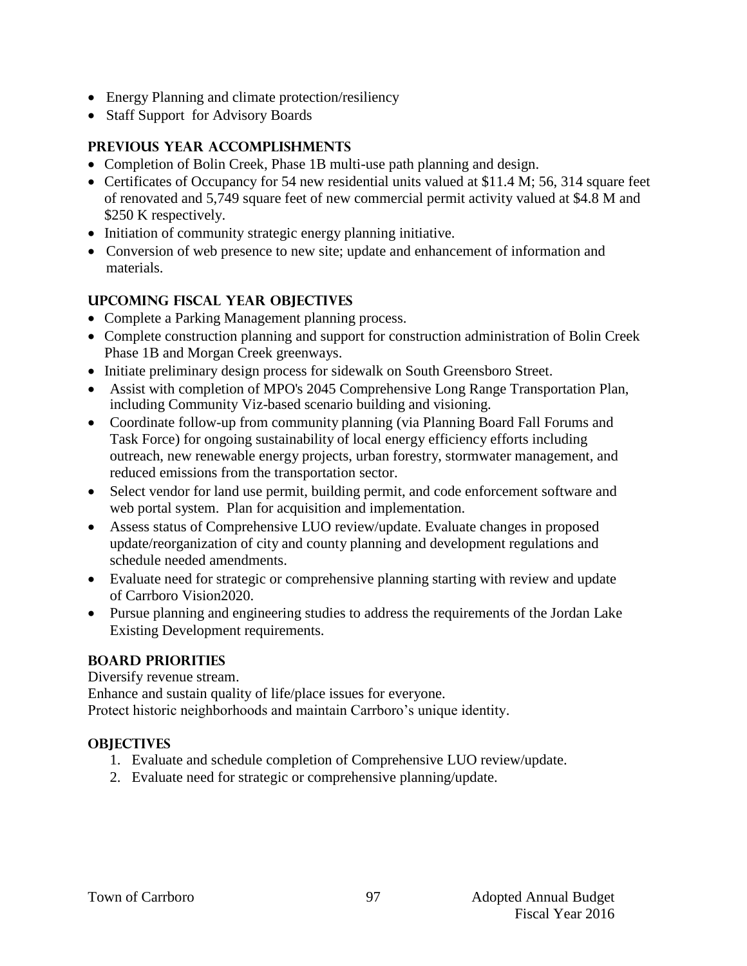- Energy Planning and climate protection/resiliency
- Staff Support for Advisory Boards

# **PREVIOUS YEAR ACCOMPLISHMENTS**

- Completion of Bolin Creek, Phase 1B multi-use path planning and design.
- Certificates of Occupancy for 54 new residential units valued at \$11.4 M; 56, 314 square feet of renovated and 5,749 square feet of new commercial permit activity valued at \$4.8 M and \$250 K respectively.
- Initiation of community strategic energy planning initiative.
- Conversion of web presence to new site; update and enhancement of information and materials.

# **UPCOMING FISCAL YEAR OBJECTIVES**

- Complete a Parking Management planning process.
- Complete construction planning and support for construction administration of Bolin Creek Phase 1B and Morgan Creek greenways.
- Initiate preliminary design process for sidewalk on South Greensboro Street.
- Assist with completion of MPO's 2045 Comprehensive Long Range Transportation Plan, including Community Viz-based scenario building and visioning.
- Coordinate follow-up from community planning (via Planning Board Fall Forums and Task Force) for ongoing sustainability of local energy efficiency efforts including outreach, new renewable energy projects, urban forestry, stormwater management, and reduced emissions from the transportation sector.
- Select vendor for land use permit, building permit, and code enforcement software and web portal system. Plan for acquisition and implementation.
- Assess status of Comprehensive LUO review/update. Evaluate changes in proposed update/reorganization of city and county planning and development regulations and schedule needed amendments.
- Evaluate need for strategic or comprehensive planning starting with review and update of Carrboro Vision2020.
- Pursue planning and engineering studies to address the requirements of the Jordan Lake Existing Development requirements.

# **BOARD PRIORITIES**

Diversify revenue stream.

Enhance and sustain quality of life/place issues for everyone.

Protect historic neighborhoods and maintain Carrboro's unique identity.

# **OBJECTIVES**

- 1. Evaluate and schedule completion of Comprehensive LUO review/update.
- 2. Evaluate need for strategic or comprehensive planning/update.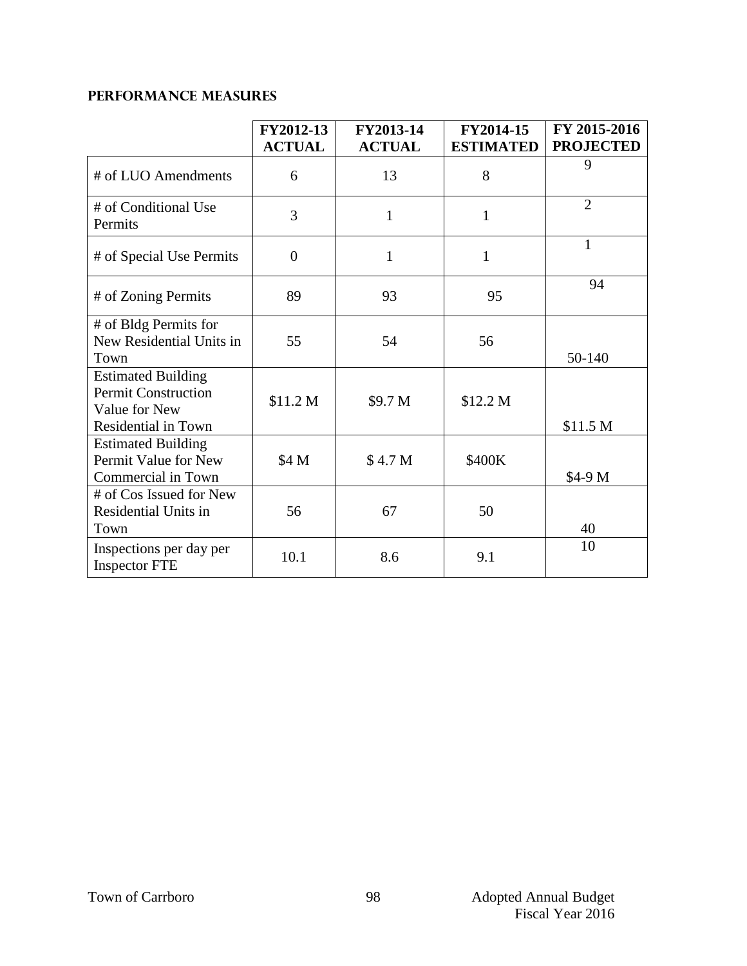# **PERFORMANCE MEASURES**

|                                                                                                 | FY2012-13<br><b>ACTUAL</b> | FY2013-14<br><b>ACTUAL</b> | FY2014-15<br><b>ESTIMATED</b> | FY 2015-2016<br><b>PROJECTED</b> |
|-------------------------------------------------------------------------------------------------|----------------------------|----------------------------|-------------------------------|----------------------------------|
| # of LUO Amendments                                                                             | 6                          | 13                         | 8                             | 9                                |
| # of Conditional Use<br>Permits                                                                 | 3                          | $\mathbf{1}$               | $\mathbf{1}$                  | $\overline{2}$                   |
| # of Special Use Permits                                                                        | $\theta$                   | $\mathbf{1}$               | $\mathbf{1}$                  | $\mathbf{1}$                     |
| # of Zoning Permits                                                                             | 89                         | 93                         | 95                            | 94                               |
| # of Bldg Permits for<br>New Residential Units in<br>Town                                       | 55                         | 54                         | 56                            | 50-140                           |
| <b>Estimated Building</b><br><b>Permit Construction</b><br>Value for New<br>Residential in Town | \$11.2 M                   | \$9.7 M                    | \$12.2 M                      | \$11.5 <sub>M</sub>              |
| <b>Estimated Building</b><br>Permit Value for New<br>Commercial in Town                         | \$4 M                      | \$4.7 <sub>M</sub>         | \$400K                        | \$4-9 M                          |
| # of Cos Issued for New<br>Residential Units in<br>Town                                         | 56                         | 67                         | 50                            | 40                               |
| Inspections per day per<br><b>Inspector FTE</b>                                                 | 10.1                       | 8.6                        | 9.1                           | 10                               |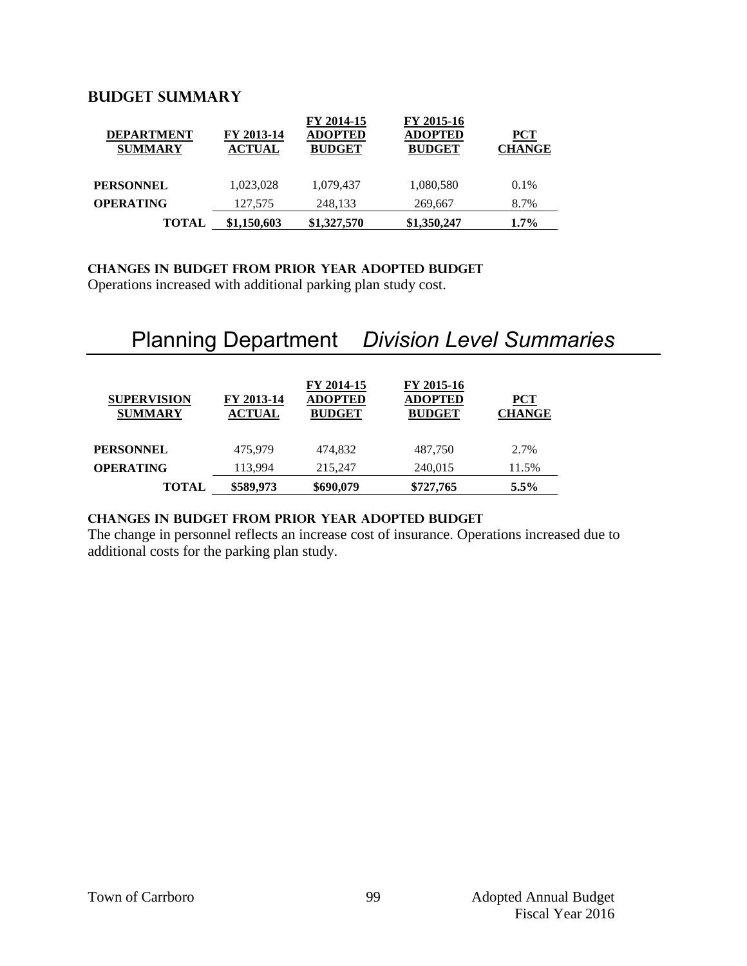# **Budget summary**

| <b>DEPARTMENT</b><br><b>SUMMARY</b> | FY 2013-14<br><b>ACTUAL</b> | FY 2014-15<br><b>ADOPTED</b><br><b>BUDGET</b> | FY 2015-16<br><b>ADOPTED</b><br><b>BUDGET</b> | PCT<br><b>CHANGE</b> |
|-------------------------------------|-----------------------------|-----------------------------------------------|-----------------------------------------------|----------------------|
| <b>PERSONNEL</b>                    | 1,023,028                   | 1,079,437                                     | 1,080,580                                     | 0.1%                 |
| <b>OPERATING</b>                    | 127,575                     | 248,133                                       | 269,667                                       | 8.7%                 |
| <b>TOTAL</b>                        | \$1,150,603                 | \$1,327,570                                   | \$1,350,247                                   | $1.7\%$              |

#### **CHANGES IN BUDGET from PRIOR YEAR ADOPTED BUDGET**

Operations increased with additional parking plan study cost.

# Planning Department *Division Level Summaries*

| <b>SUPERVISION</b><br><b>SUMMARY</b> | FY 2013-14<br><b>ACTUAL</b> | FY 2014-15<br><b>ADOPTED</b><br><b>BUDGET</b> | FY 2015-16<br><b>ADOPTED</b><br><b>BUDGET</b> | <b>PCT</b><br><b>CHANGE</b> |
|--------------------------------------|-----------------------------|-----------------------------------------------|-----------------------------------------------|-----------------------------|
| <b>PERSONNEL</b>                     | 475.979                     | 474.832                                       | 487.750                                       | 2.7%                        |
| <b>OPERATING</b>                     | 113,994                     | 215,247                                       | 240,015                                       | 11.5%                       |
| <b>TOTAL</b>                         | \$589,973                   | \$690,079                                     | \$727,765                                     | $5.5\%$                     |

# **changes in budget from prior year adopted budget**

The change in personnel reflects an increase cost of insurance. Operations increased due to additional costs for the parking plan study.